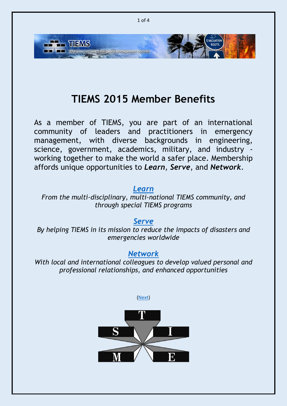

## **TIEMS 2015 Member Benefits**

<span id="page-0-0"></span>As a member of TIEMS, you are part of an international community of leaders and practitioners in emergency management, with diverse backgrounds in engineering, science, government, academics, military, and industry working together to make the world a safer place. Membership affords unique opportunities to *Learn*, *Serve*, and *Network*.

#### *[Learn](#page-1-0)*

*From the multi-disciplinary, multi-national TIEMS community, and through special TIEMS programs*

*[Serve](#page-2-0) By helping TIEMS in its mission to reduce the impacts of disasters and emergencies worldwide*

#### *[Network](#page-3-0)*

*With local and international colleagues to develop valued personal and professional relationships, and enhanced opportunities*



[\(Next\)](#page-1-0)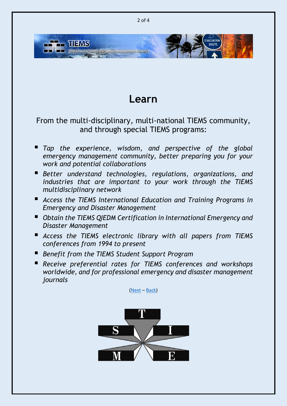

### **Learn**

### <span id="page-1-0"></span>From the multi-disciplinary, multi-national TIEMS community, and through special TIEMS programs:

- *Tap the experience, wisdom, and perspective of the global emergency management community, better preparing you for your work and potential collaborations*
- *Better understand technologies, regulations, organizations, and industries that are important to your work through the TIEMS multidisciplinary network*
- *Access the TIEMS International Education and Training Programs in Emergency and Disaster Management*
- *Obtain the TIEMS QIEDM Certification in International Emergency and Disaster Management*
- *Access the TIEMS electronic library with all papers from TIEMS conferences from 1994 to present*
- *Benefit from the TIEMS Student Support Program*
- *Receive preferential rates for TIEMS conferences and workshops worldwide, and for professional emergency and disaster management journals*

[\(Next](#page-2-0) – [Back\)](#page-0-0)

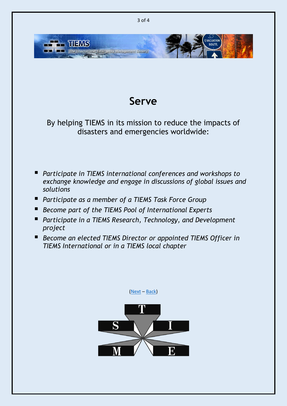

### **Serve**

<span id="page-2-0"></span>By helping TIEMS in its mission to reduce the impacts of disasters and emergencies worldwide:

- *Participate in TIEMS international conferences and workshops to exchange knowledge and engage in discussions of global issues and solutions*
- *Participate as a member of a TIEMS Task Force Group*
- *Become part of the TIEMS Pool of International Experts*
- *Participate in a TIEMS Research, Technology, and Development project*
- Become an elected TIEMS Director or appointed TIEMS Officer in *TIEMS International or in a TIEMS local chapter*